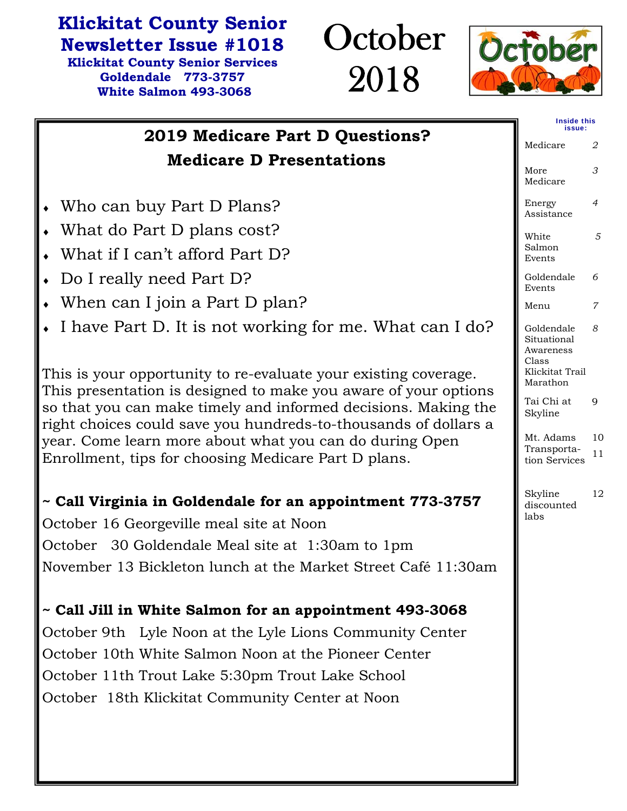## **Klickitat County Senior**

**Newsletter Issue #1018 Klickitat County Senior Services Goldendale 773-3757 White Salmon 493-3068** 





|                                                                                                                                                                                                      | <b>Inside this</b><br>issue:                    |          |
|------------------------------------------------------------------------------------------------------------------------------------------------------------------------------------------------------|-------------------------------------------------|----------|
| 2019 Medicare Part D Questions?                                                                                                                                                                      | Medicare                                        | 2        |
| <b>Medicare D Presentations</b>                                                                                                                                                                      | More<br>Medicare                                | 3        |
| Who can buy Part D Plans?                                                                                                                                                                            | Energy<br>Assistance                            | 4        |
| What do Part D plans cost?                                                                                                                                                                           | White                                           | 5        |
| What if I can't afford Part D?                                                                                                                                                                       | Salmon<br>Events                                |          |
| Do I really need Part D?                                                                                                                                                                             | Goldendale<br>Events                            | 6        |
| When can I join a Part D plan?                                                                                                                                                                       | Menu                                            | 7        |
| I have Part D. It is not working for me. What can I do?                                                                                                                                              | Goldendale<br>Situational<br>Awareness<br>Class | 8        |
| This is your opportunity to re-evaluate your existing coverage.                                                                                                                                      | Klickitat Trail<br>Marathon                     |          |
| This presentation is designed to make you aware of your options<br>so that you can make timely and informed decisions. Making the<br>right choices could save you hundreds-to-thousands of dollars a | Tai Chi at<br>Skyline                           | 9        |
| year. Come learn more about what you can do during Open<br>Enrollment, tips for choosing Medicare Part D plans.                                                                                      | Mt. Adams<br>Transporta-<br>tion Services       | 10<br>11 |
| ~ Call Virginia in Goldendale for an appointment 773-3757                                                                                                                                            | Skyline<br>discounted                           | 12       |
| October 16 Georgeville meal site at Noon                                                                                                                                                             | labs                                            |          |
| October 30 Goldendale Meal site at 1:30am to 1pm                                                                                                                                                     |                                                 |          |
| November 13 Bickleton lunch at the Market Street Café 11:30am                                                                                                                                        |                                                 |          |
| ~ Call Jill in White Salmon for an appointment 493-3068                                                                                                                                              |                                                 |          |
| October 9th Lyle Noon at the Lyle Lions Community Center                                                                                                                                             |                                                 |          |
| October 10th White Salmon Noon at the Pioneer Center                                                                                                                                                 |                                                 |          |
| October 11th Trout Lake 5:30pm Trout Lake School                                                                                                                                                     |                                                 |          |
| October 18th Klickitat Community Center at Noon                                                                                                                                                      |                                                 |          |
|                                                                                                                                                                                                      |                                                 |          |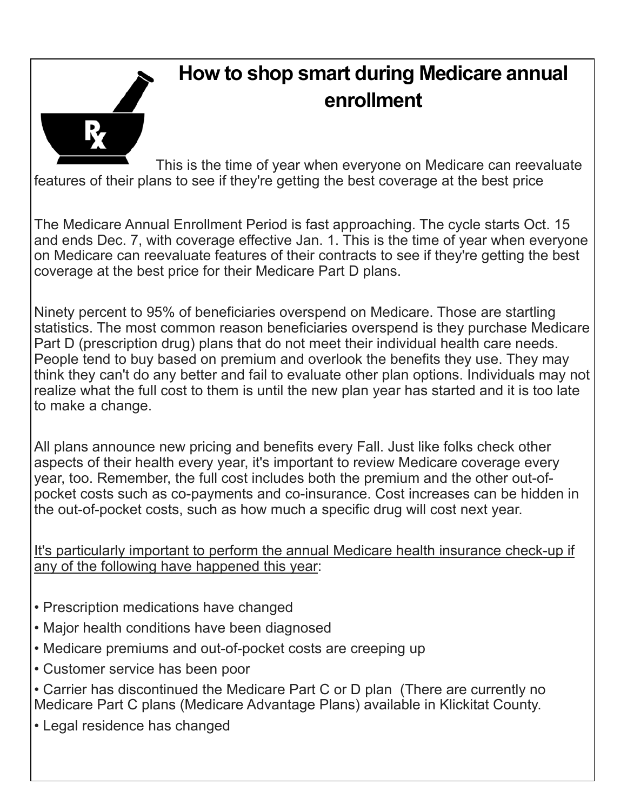

## **How to shop smart during Medicare annual enrollment**

This is the time of year when everyone on Medicare can reevaluate features of their plans to see if they're getting the best coverage at the best price

The Medicare Annual Enrollment Period is fast approaching. The cycle starts Oct. 15 and ends Dec. 7, with coverage effective Jan. 1. This is the time of year when everyone on Medicare can reevaluate features of their contracts to see if they're getting the best coverage at the best price for their Medicare Part D plans.

Ninety percent to 95% of beneficiaries overspend on Medicare. Those are startling statistics. The most common reason beneficiaries overspend is they purchase Medicare Part D (prescription drug) plans that do not meet their individual health care needs. People tend to buy based on premium and overlook the benefits they use. They may think they can't do any better and fail to evaluate other plan options. Individuals may not realize what the full cost to them is until the new plan year has started and it is too late to make a change.

All plans announce new pricing and benefits every Fall. Just like folks check other aspects of their health every year, it's important to review Medicare coverage every year, too. Remember, the full cost includes both the premium and the other out-ofpocket costs such as co-payments and co-insurance. Cost increases can be hidden in the out-of-pocket costs, such as how much a specific drug will cost next year.

It's particularly important to perform the annual Medicare health insurance check-up if any of the following have happened this year:

- Prescription medications have changed
- Major health conditions have been diagnosed
- Medicare premiums and out-of-pocket costs are creeping up
- Customer service has been poor

• Carrier has discontinued the Medicare Part C or D plan (There are currently no Medicare Part C plans (Medicare Advantage Plans) available in Klickitat County.

• Legal residence has changed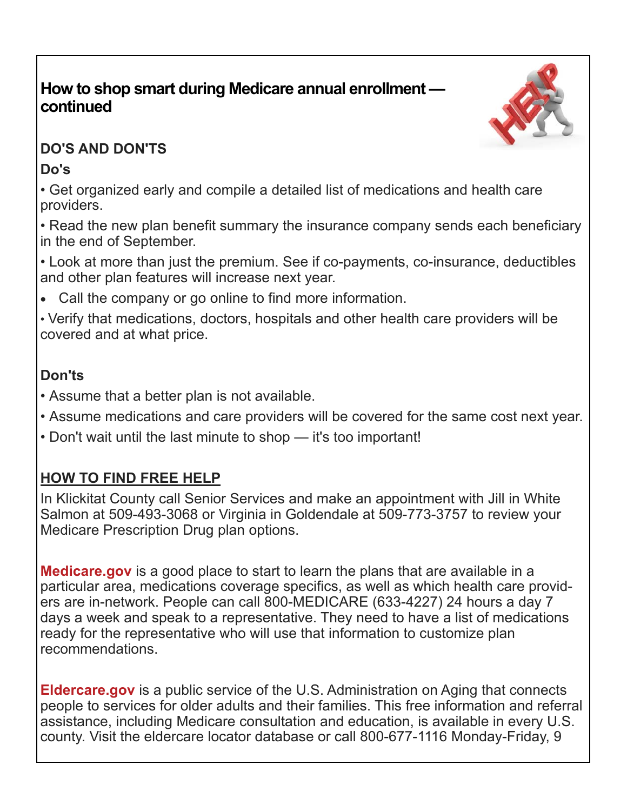### **How to shop smart during Medicare annual enrollment continued**



### **DO'S AND DON'TS**

### **Do's**

• Get organized early and compile a detailed list of medications and health care providers.

• Read the new plan benefit summary the insurance company sends each beneficiary in the end of September.

• Look at more than just the premium. See if co-payments, co-insurance, deductibles and other plan features will increase next year.

Call the company or go online to find more information.

• Verify that medications, doctors, hospitals and other health care providers will be covered and at what price.

## **Don'ts**

- Assume that a better plan is not available.
- Assume medications and care providers will be covered for the same cost next year.
- Don't wait until the last minute to shop it's too important!

## **HOW TO FIND FREE HELP**

In Klickitat County call Senior Services and make an appointment with Jill in White Salmon at 509-493-3068 or Virginia in Goldendale at 509-773-3757 to review your Medicare Prescription Drug plan options.

**Medicare.gov** is a good place to start to learn the plans that are available in a particular area, medications coverage specifics, as well as which health care providers are in-network. People can call 800-MEDICARE (633-4227) 24 hours a day 7 days a week and speak to a representative. They need to have a list of medications ready for the representative who will use that information to customize plan recommendations.

**Eldercare.gov** is a public service of the U.S. Administration on Aging that connects people to services for older adults and their families. This free information and referral assistance, including Medicare consultation and education, is available in every U.S. county. Visit the eldercare locator database or call 800-677-1116 Monday-Friday, 9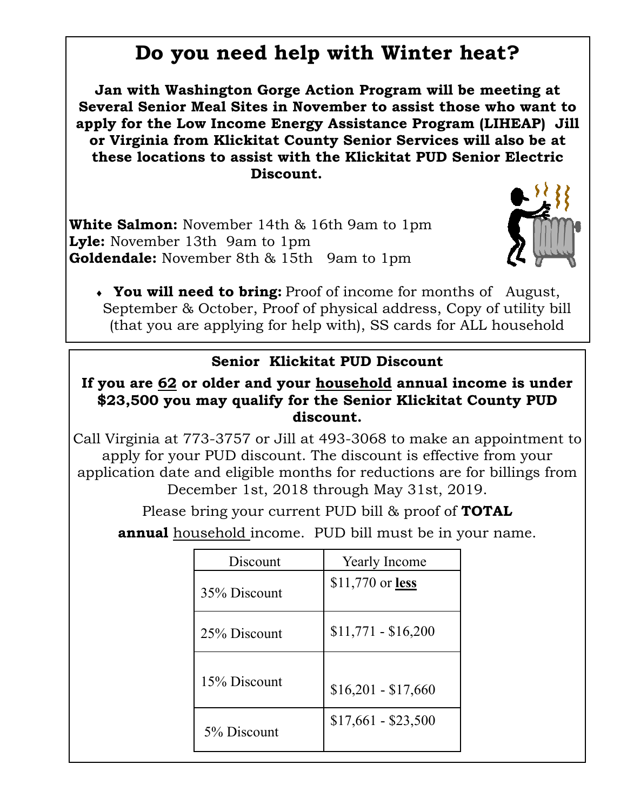## **Do you need help with Winter heat?**

**Jan with Washington Gorge Action Program will be meeting at Several Senior Meal Sites in November to assist those who want to apply for the Low Income Energy Assistance Program (LIHEAP) Jill or Virginia from Klickitat County Senior Services will also be at these locations to assist with the Klickitat PUD Senior Electric Discount.** 

**White Salmon:** November 14th & 16th 9am to 1pm **Lyle:** November 13th 9am to 1pm **Goldendale:** November 8th & 15th 9am to 1pm



 **You will need to bring:** Proof of income for months of August, September & October, Proof of physical address, Copy of utility bill (that you are applying for help with), SS cards for ALL household

### **Senior Klickitat PUD Discount**

#### **If you are 62 or older and your household annual income is under \$23,500 you may qualify for the Senior Klickitat County PUD discount.**

Call Virginia at 773-3757 or Jill at 493-3068 to make an appointment to apply for your PUD discount. The discount is effective from your application date and eligible months for reductions are for billings from December 1st, 2018 through May 31st, 2019.

Please bring your current PUD bill & proof of **TOTAL**

**annual** household income. PUD bill must be in your name.

| Discount     | <b>Yearly Income</b> |
|--------------|----------------------|
| 35% Discount | $$11,770$ or less    |
| 25% Discount | $$11,771 - $16,200$  |
| 15% Discount | $$16,201 - $17,660$  |
| 5% Discount  | $$17,661 - $23,500$  |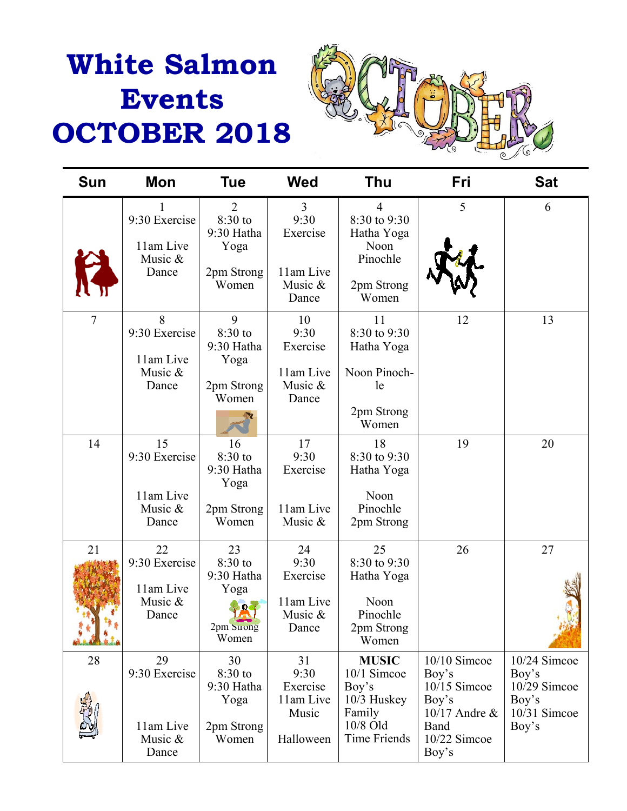# **White Salmon Events OCTOBER 2018**



| <b>Sun</b>        | Mon                                                  | Tue                                                        | <b>Wed</b>                                                          | <b>Thu</b>                                                                                         | Fri                                                                                                  | <b>Sat</b>                                                              |
|-------------------|------------------------------------------------------|------------------------------------------------------------|---------------------------------------------------------------------|----------------------------------------------------------------------------------------------------|------------------------------------------------------------------------------------------------------|-------------------------------------------------------------------------|
|                   | 1<br>9:30 Exercise<br>11am Live<br>Music &<br>Dance  | 2<br>8:30 to<br>9:30 Hatha<br>Yoga<br>2pm Strong<br>Women  | $\overline{3}$<br>9:30<br>Exercise<br>11am Live<br>Music &<br>Dance | $\overline{4}$<br>8:30 to 9:30<br>Hatha Yoga<br>Noon<br>Pinochle<br>2pm Strong<br>Women            | 5                                                                                                    | 6                                                                       |
| $\overline{7}$    | 8<br>9:30 Exercise<br>11am Live<br>Music &<br>Dance  | 9<br>8:30 to<br>9:30 Hatha<br>Yoga<br>2pm Strong<br>Women  | 10<br>9:30<br>Exercise<br>11am Live<br>Music &<br>Dance             | 11<br>8:30 to 9:30<br>Hatha Yoga<br>Noon Pinoch-<br>le<br>2pm Strong<br>Women                      | 12                                                                                                   | 13                                                                      |
| 14                | 15<br>9:30 Exercise<br>11am Live<br>Music &<br>Dance | 16<br>8:30 to<br>9:30 Hatha<br>Yoga<br>2pm Strong<br>Women | 17<br>9:30<br>Exercise<br>11am Live<br>Music &                      | 18<br>8:30 to 9:30<br>Hatha Yoga<br>Noon<br>Pinochle<br>2pm Strong                                 | 19                                                                                                   | 20                                                                      |
| 21<br>Le de la La | 22<br>9:30 Exercise<br>11am Live<br>Music &<br>Dance | 23<br>8:30 to<br>9:30 Hatha<br>Yoga<br>2pm Strong<br>Women | 24<br>9:30<br>Exercise<br>11am Live<br>Music &<br>Dance             | 25<br>8:30 to 9:30<br>Hatha Yoga<br>Noon<br>Pinochle<br>2pm Strong<br>Women                        | 26                                                                                                   | 27                                                                      |
| 28                | 29<br>9:30 Exercise<br>11am Live<br>Music &<br>Dance | 30<br>8:30 to<br>9:30 Hatha<br>Yoga<br>2pm Strong<br>Women | 31<br>9:30<br>Exercise<br>11am Live<br>Music<br>Halloween           | <b>MUSIC</b><br>10/1 Simcoe<br>Boy's<br>$10/3$ Huskey<br>Family<br>10/8 Old<br><b>Time Friends</b> | $10/10$ Simcoe<br>Boy's<br>$10/15$ Simcoe<br>Boy's<br>10/17 Andre &<br>Band<br>10/22 Simcoe<br>Boy's | 10/24 Simcoe<br>Boy's<br>10/29 Simcoe<br>Boy's<br>10/31 Simcoe<br>Boy's |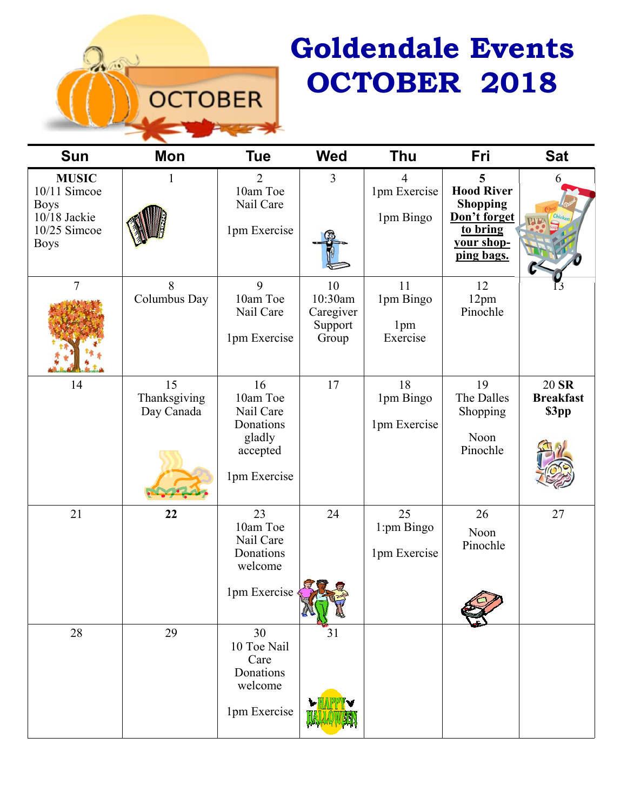# **Goldendale Events OCTOBER 2018**

| <b>Sun</b>                                                                                     | Mon                              | <b>Tue</b>                                                                     | <b>Wed</b>                                     | <b>Thu</b>                         | Fri                                                                                               | <b>Sat</b>                         |
|------------------------------------------------------------------------------------------------|----------------------------------|--------------------------------------------------------------------------------|------------------------------------------------|------------------------------------|---------------------------------------------------------------------------------------------------|------------------------------------|
| <b>MUSIC</b><br>10/11 Simcoe<br><b>Boys</b><br>$10/18$ Jackie<br>$10/25$ Simcoe<br><b>Boys</b> |                                  | $\overline{2}$<br>10am Toe<br>Nail Care<br>1pm Exercise                        | $\mathfrak{Z}$                                 | 4<br>1pm Exercise<br>1pm Bingo     | 5<br><b>Hood River</b><br><b>Shopping</b><br>Don't forget<br>to bring<br>your shop-<br>ping bags. | 6                                  |
| $\overline{7}$                                                                                 | 8<br>Columbus Day                | 9<br>10am Toe<br>Nail Care<br>1pm Exercise                                     | 10<br>10:30am<br>Caregiver<br>Support<br>Group | 11<br>1pm Bingo<br>1pm<br>Exercise | 12<br>12pm<br>Pinochle                                                                            |                                    |
| 14                                                                                             | 15<br>Thanksgiving<br>Day Canada | 16<br>10am Toe<br>Nail Care<br>Donations<br>gladly<br>accepted<br>1pm Exercise | 17                                             | 18<br>1pm Bingo<br>1pm Exercise    | 19<br>The Dalles<br>Shopping<br>Noon<br>Pinochle                                                  | 20 SR<br><b>Breakfast</b><br>\$3pp |
| 21                                                                                             | 22                               | 23<br>10am Toe<br>Nail Care<br>Donations<br>welcome<br>1pm Exercise            | 24                                             | 25<br>1:pm Bingo<br>1pm Exercise   | 26<br>Noon<br>Pinochle                                                                            | 27                                 |
| 28                                                                                             | 29                               | 30<br>10 Toe Nail<br>Care<br>Donations<br>welcome<br>1pm Exercise              | 31                                             |                                    |                                                                                                   |                                    |

**OCTOBER**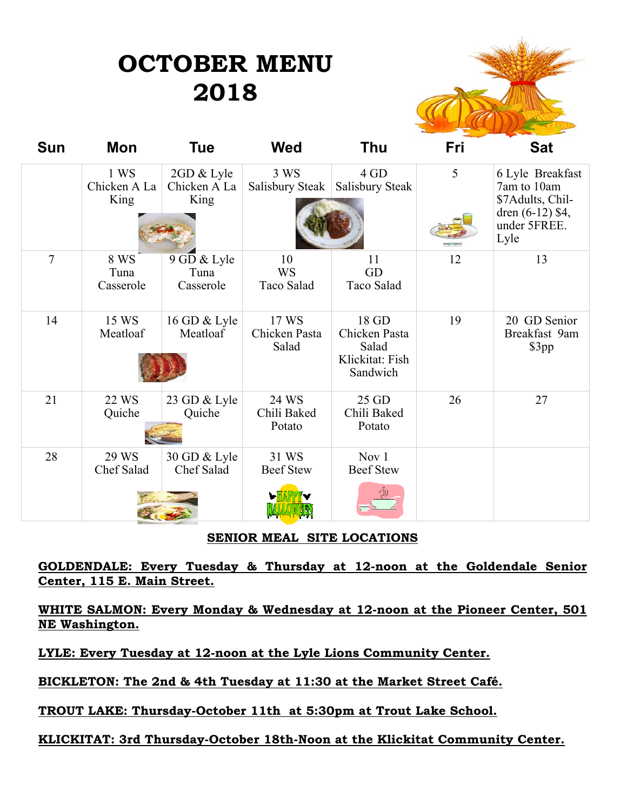## **OCTOBER MENU 2018**



| <b>Sun</b>     | Mon                          | Tue                                | <b>Wed</b>                      | Thu                                                            | Fri | <b>Sat</b>                                                                                        |
|----------------|------------------------------|------------------------------------|---------------------------------|----------------------------------------------------------------|-----|---------------------------------------------------------------------------------------------------|
|                | 1 WS<br>Chicken A La<br>King | 2GD & Lyle<br>Chicken A La<br>King | 3 WS<br>Salisbury Steak         | 4 GD<br>Salisbury Steak                                        | 5   | 6 Lyle Breakfast<br>7am to 10am<br>\$7Adults, Chil-<br>dren $(6-12)$ \$4,<br>under 5FREE.<br>Lyle |
| $\overline{7}$ | 8 WS<br>Tuna<br>Casserole    | 9 GD & Lyle<br>Tuna<br>Casserole   | 10<br><b>WS</b><br>Taco Salad   | 11<br>GD<br>Taco Salad                                         | 12  | 13                                                                                                |
| 14             | 15 WS<br>Meatloaf            | 16 GD & Lyle<br>Meatloaf           | 17 WS<br>Chicken Pasta<br>Salad | 18 GD<br>Chicken Pasta<br>Salad<br>Klickitat: Fish<br>Sandwich | 19  | 20 GD Senior<br>Breakfast 9am<br>\$3pp                                                            |
| 21             | 22 WS<br>Quiche              | 23 GD & Lyle<br>Quiche             | 24 WS<br>Chili Baked<br>Potato  | 25 GD<br>Chili Baked<br>Potato                                 | 26  | 27                                                                                                |
| 28             | 29 WS<br>Chef Salad          | 30 GD & Lyle<br>Chef Salad         | 31 WS<br><b>Beef Stew</b>       | Nov 1<br><b>Beef Stew</b>                                      |     |                                                                                                   |

#### **SENIOR MEAL SITE LOCATIONS**

**GOLDENDALE: Every Tuesday & Thursday at 12-noon at the Goldendale Senior Center, 115 E. Main Street.** 

**WHITE SALMON: Every Monday & Wednesday at 12-noon at the Pioneer Center, 501 NE Washington.** 

**LYLE: Every Tuesday at 12-noon at the Lyle Lions Community Center.** 

**BICKLETON: The 2nd & 4th Tuesday at 11:30 at the Market Street Café.** 

**TROUT LAKE: Thursday-October 11th at 5:30pm at Trout Lake School.**

#### **KLICKITAT: 3rd Thursday-October 18th-Noon at the Klickitat Community Center.**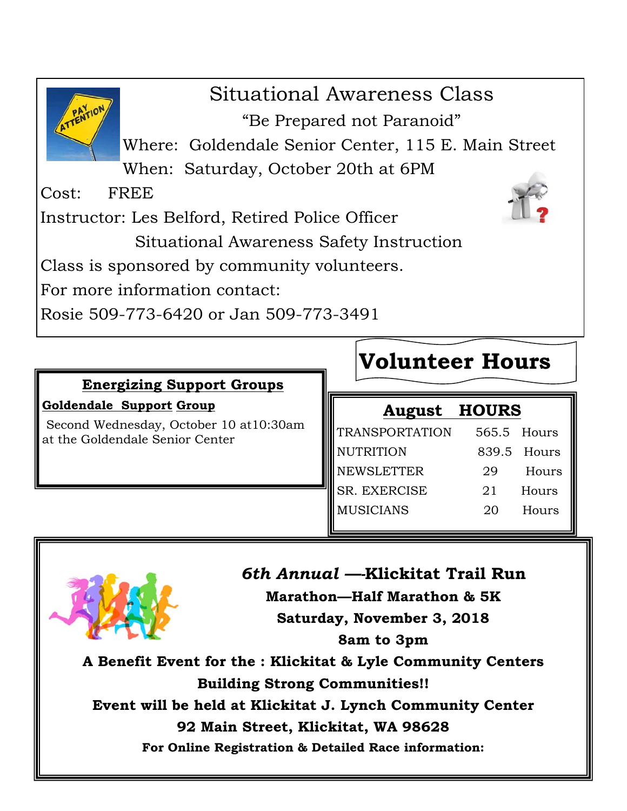Situational Awareness Class "Be Prepared not Paranoid" Where: Goldendale Senior Center, 115 E. Main Street When: Saturday, October 20th at 6PM Cost: FREE Instructor: Les Belford, Retired Police Officer Situational Awareness Safety Instruction Class is sponsored by community volunteers. For more information contact: Rosie 509-773-6420 or Jan 509-773-3491

### **Energizing Support Groups**

#### **Goldendale Support Group**

Second Wednesday, October 10 at10:30am at the Goldendale Senior Center

## **Volunteer Hours**

| <b>August HOURS</b>   |             |       |
|-----------------------|-------------|-------|
| <b>TRANSPORTATION</b> | 565.5 Hours |       |
| <b>NUTRITION</b>      | 839.5 Hours |       |
| <b>NEWSLETTER</b>     | 29          | Hours |
| <b>SR. EXERCISE</b>   | 21          | Hours |
| <b>MUSICIANS</b>      | 20          | Hours |
|                       |             |       |



## *6th Annual —-***Klickitat Trail Run Marathon—Half Marathon & 5K Saturday, November 3, 2018 8am to 3pm**

**A Benefit Event for the : Klickitat & Lyle Community Centers Building Strong Communities!!** 

**Event will be held at Klickitat J. Lynch Community Center** 

**92 Main Street, Klickitat, WA 98628** 

**For Online Registration & Detailed Race information:**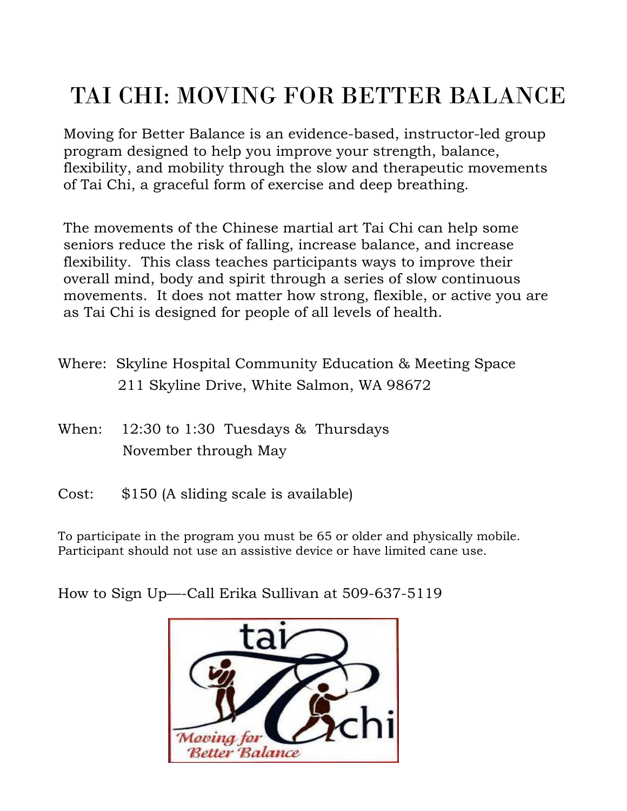## TAI CHI: MOVING FOR BETTER BALANCE

Moving for Better Balance is an evidence-based, instructor-led group program designed to help you improve your strength, balance, flexibility, and mobility through the slow and therapeutic movements of Tai Chi, a graceful form of exercise and deep breathing.

The movements of the Chinese martial art Tai Chi can help some seniors reduce the risk of falling, increase balance, and increase flexibility. This class teaches participants ways to improve their overall mind, body and spirit through a series of slow continuous movements. It does not matter how strong, flexible, or active you are as Tai Chi is designed for people of all levels of health.

- Where: Skyline Hospital Community Education & Meeting Space 211 Skyline Drive, White Salmon, WA 98672
- When: 12:30 to 1:30 Tuesdays & Thursdays November through May
- Cost: \$150 (A sliding scale is available)

To participate in the program you must be 65 or older and physically mobile. Participant should not use an assistive device or have limited cane use.

How to Sign Up—-Call Erika Sullivan at 509-637-5119

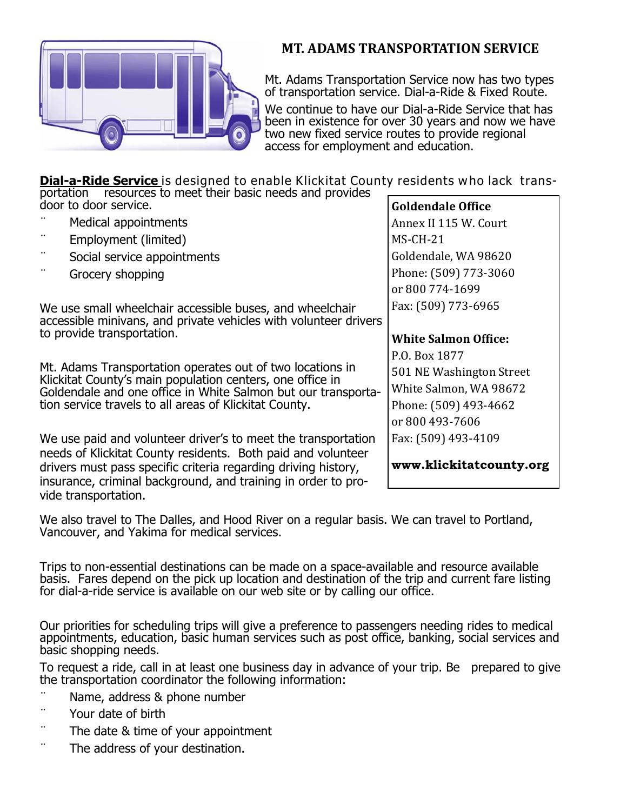

### **MT. ADAMS TRANSPORTATION SERVICE**

Mt. Adams Transportation Service now has two types of transportation service. Dial-a-Ride & Fixed Route.

We continue to have our Dial-a-Ride Service that has been in existence for over 30 years and now we have two new fixed service routes to provide regional access for employment and education.

**Dial-a-Ride Service** is designed to enable Klickitat County residents who lack trans-

| portation resources to meet their basic needs and provides                                                                                                                                      |                             |
|-------------------------------------------------------------------------------------------------------------------------------------------------------------------------------------------------|-----------------------------|
| door to door service.                                                                                                                                                                           | <b>Goldendale Office</b>    |
| Medical appointments                                                                                                                                                                            | Annex II 115 W. Court       |
| Employment (limited)                                                                                                                                                                            | $MS-CH-21$                  |
| Social service appointments                                                                                                                                                                     | Goldendale, WA 98620        |
| Grocery shopping                                                                                                                                                                                | Phone: (509) 773-3060       |
|                                                                                                                                                                                                 | or 800 774-1699             |
| We use small wheelchair accessible buses, and wheelchair                                                                                                                                        | Fax: (509) 773-6965         |
| accessible minivans, and private vehicles with volunteer drivers<br>to provide transportation.                                                                                                  |                             |
|                                                                                                                                                                                                 | <b>White Salmon Office:</b> |
|                                                                                                                                                                                                 | P.O. Box 1877               |
| Mt. Adams Transportation operates out of two locations in<br>Klickitat County's main population centers, one office in                                                                          | 501 NE Washington Street    |
| Goldendale and one office in White Salmon but our transporta-                                                                                                                                   | White Salmon, WA 98672      |
| tion service travels to all areas of Klickitat County.                                                                                                                                          | Phone: (509) 493-4662       |
|                                                                                                                                                                                                 | or 800 493-7606             |
| We use paid and volunteer driver's to meet the transportation                                                                                                                                   | Fax: (509) 493-4109         |
| needs of Klickitat County residents. Both paid and volunteer<br>drivers must pass specific criteria regarding driving history,<br>insurance, criminal background, and training in order to pro- | www.klickitatcounty.org     |
| vide transportation.                                                                                                                                                                            |                             |

We also travel to The Dalles, and Hood River on a regular basis. We can travel to Portland, Vancouver, and Yakima for medical services.

Trips to non-essential destinations can be made on a space-available and resource available basis. Fares depend on the pick up location and destination of the trip and current fare listing for dial-a-ride service is available on our web site or by calling our office.

Our priorities for scheduling trips will give a preference to passengers needing rides to medical appointments, education, basic human services such as post office, banking, social services and basic shopping needs.

To request a ride, call in at least one business day in advance of your trip. Be prepared to give the transportation coordinator the following information:

- Name, address & phone number
- ¨ Your date of birth
- The date & time of your appointment
- The address of your destination.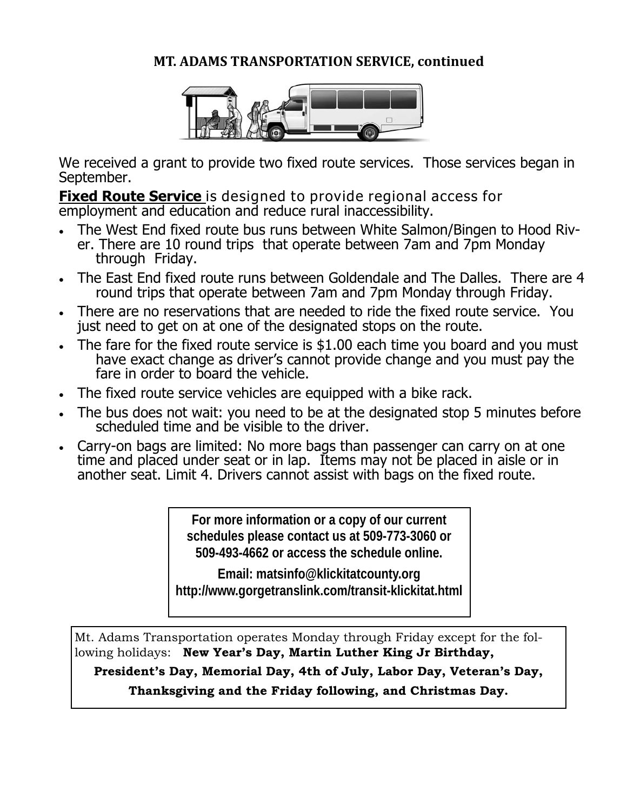### **MT. ADAMS TRANSPORTATION SERVICE, continued**



We received a grant to provide two fixed route services. Those services began in September.

**Fixed Route Service** is designed to provide regional access for employment and education and reduce rural inaccessibility.

- The West End fixed route bus runs between White Salmon/Bingen to Hood River. There are 10 round trips that operate between 7am and 7pm Monday through Friday.
- The East End fixed route runs between Goldendale and The Dalles. There are 4 round trips that operate between 7am and 7pm Monday through Friday.
- There are no reservations that are needed to ride the fixed route service. You just need to get on at one of the designated stops on the route.
- The fare for the fixed route service is \$1.00 each time you board and you must have exact change as driver's cannot provide change and you must pay the fare in order to board the vehicle.
- The fixed route service vehicles are equipped with a bike rack.
- The bus does not wait: you need to be at the designated stop 5 minutes before scheduled time and be visible to the driver.
- Carry-on bags are limited: No more bags than passenger can carry on at one time and placed under seat or in lap. Items may not be placed in aisle or in another seat. Limit 4. Drivers cannot assist with bags on the fixed route.

**For more information or a copy of our current schedules please contact us at 509-773-3060 or 509-493-4662 or access the schedule online.** 

**Email: matsinfo@klickitatcounty.org http://www.gorgetranslink.com/transit-klickitat.html** 

Mt. Adams Transportation operates Monday through Friday except for the following holidays: **New Year's Day, Martin Luther King Jr Birthday,** 

**President's Day, Memorial Day, 4th of July, Labor Day, Veteran's Day,** 

**Thanksgiving and the Friday following, and Christmas Day.**